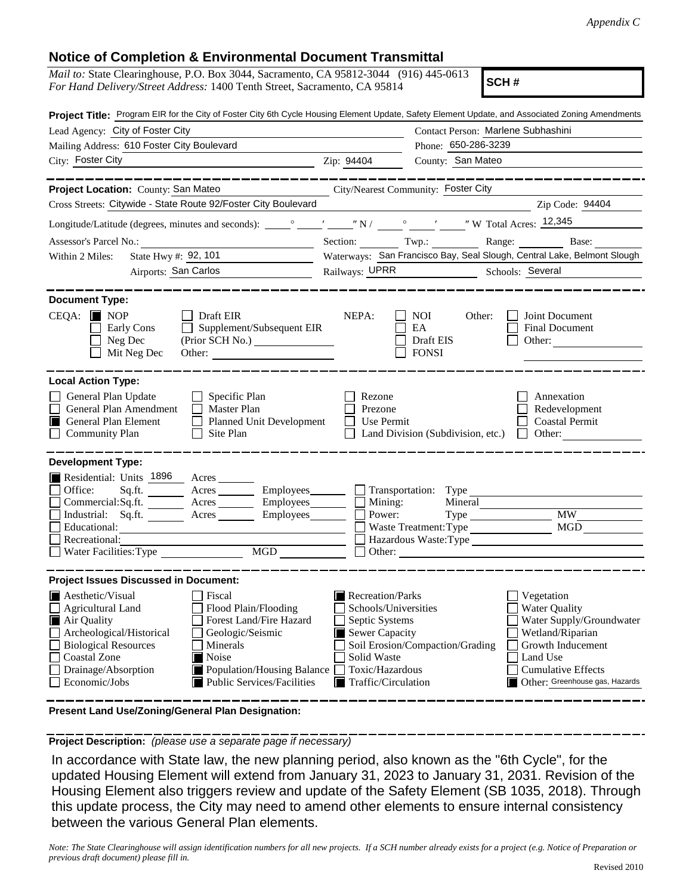## **Notice of Completion & Environmental Document Transmittal**

| <u>Nuut ol Compienon &amp; Liivironniental Document Transmittal</u>                                                                                                                                                                                                                                                                                            |  |  |  |  |  |
|----------------------------------------------------------------------------------------------------------------------------------------------------------------------------------------------------------------------------------------------------------------------------------------------------------------------------------------------------------------|--|--|--|--|--|
| <i>Mail to:</i> State Clearinghouse, P.O. Box 3044, Sacramento, CA 95812-3044 (916) 445-0613<br>SCH#<br>For Hand Delivery/Street Address: 1400 Tenth Street, Sacramento, CA 95814                                                                                                                                                                              |  |  |  |  |  |
| Project Title: Program EIR for the City of Foster City 6th Cycle Housing Element Update, Safety Element Update, and Associated Zoning Amendments                                                                                                                                                                                                               |  |  |  |  |  |
| Contact Person: Marlene Subhashini                                                                                                                                                                                                                                                                                                                             |  |  |  |  |  |
| Phone: 650-286-3239                                                                                                                                                                                                                                                                                                                                            |  |  |  |  |  |
| County: San Mateo<br>Zip: 94404                                                                                                                                                                                                                                                                                                                                |  |  |  |  |  |
| City/Nearest Community: Foster City                                                                                                                                                                                                                                                                                                                            |  |  |  |  |  |
| Cross Streets: Citywide - State Route 92/Foster City Boulevard<br>Zip Code: 94404                                                                                                                                                                                                                                                                              |  |  |  |  |  |
|                                                                                                                                                                                                                                                                                                                                                                |  |  |  |  |  |
| Section: Twp.: Range: Base:                                                                                                                                                                                                                                                                                                                                    |  |  |  |  |  |
| Waterways: San Francisco Bay, Seal Slough, Central Lake, Belmont Slough                                                                                                                                                                                                                                                                                        |  |  |  |  |  |
| Railways: UPRR Schools: Several                                                                                                                                                                                                                                                                                                                                |  |  |  |  |  |
| NEPA:<br>Joint Document<br>NOI<br>Other:<br>EA<br>Final Document<br>Draft EIS<br>Other:<br><b>FONSI</b><br>Rezone<br>Annexation<br>Redevelopment<br>Prezone<br>Use Permit<br><b>Coastal Permit</b><br>Land Division (Subdivision, etc.)<br>Other:<br>$\Box$                                                                                                    |  |  |  |  |  |
| Acres _________ Employees ________ Transportation: Type<br>$Commercial:Sq.fit.$ Acres Employees $\Box$ Mining:<br>Mineral<br><b>MW</b><br>Power:<br>Waste Treatment: Type<br>Hazardous Waste: Type<br>Other:                                                                                                                                                   |  |  |  |  |  |
| Recreation/Parks<br>Vegetation<br>Schools/Universities<br><b>Water Quality</b><br>Water Supply/Groundwater<br>Septic Systems<br>Sewer Capacity<br>Wetland/Riparian<br>Soil Erosion/Compaction/Grading<br>Growth Inducement<br>Land Use<br>Solid Waste<br>Toxic/Hazardous<br><b>Cumulative Effects</b><br>Traffic/Circulation<br>Other: Greenhouse gas, Hazards |  |  |  |  |  |
|                                                                                                                                                                                                                                                                                                                                                                |  |  |  |  |  |

**Present Land Use/Zoning/General Plan Designation:**

**Project Description:** *(please use a separate page if necessary)*

 In accordance with State law, the new planning period, also known as the "6th Cycle", for the updated Housing Element will extend from January 31, 2023 to January 31, 2031. Revision of the Housing Element also triggers review and update of the Safety Element (SB 1035, 2018). Through this update process, the City may need to amend other elements to ensure internal consistency between the various General Plan elements.

*Note: The State Clearinghouse will assign identification numbers for all new projects. If a SCH number already exists for a project (e.g. Notice of Preparation or previous draft document) please fill in.*